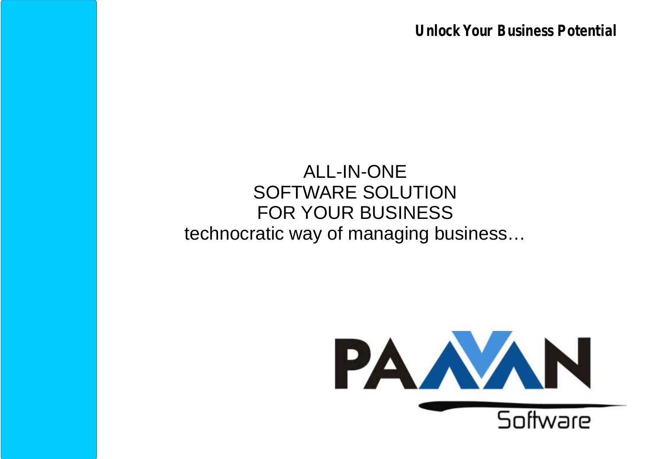**Unlock Your Business Potential**

### ALL-IN-ONE SOFTWARE SOLUTION FOR YOUR BUSINESS technocratic way of managing business…

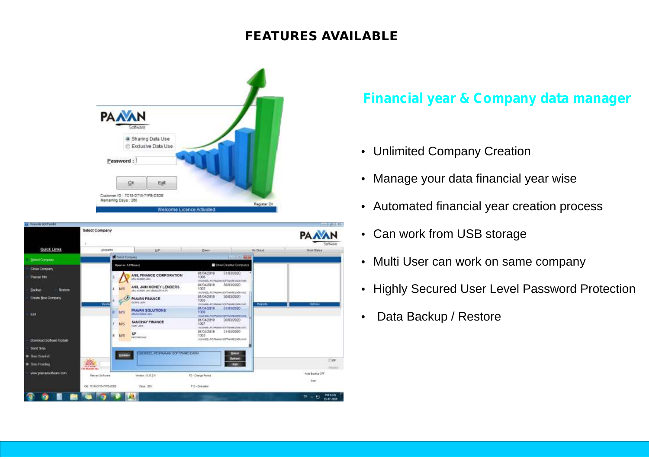### **FEATURES AVAILABLE**



| <b>ILEARAN SOFTWEEL</b>            |                                                                 |                                                              |                                                                                                 |                   | $-1.011$                                  |
|------------------------------------|-----------------------------------------------------------------|--------------------------------------------------------------|-------------------------------------------------------------------------------------------------|-------------------|-------------------------------------------|
|                                    | Select Company                                                  |                                                              |                                                                                                 |                   | <b>PAAAN</b><br>SOOWWW                    |
| Quick Links                        | Accounts                                                        | <b>HP</b>                                                    | Exen                                                                                            | <b>Gri Gioudi</b> | Hirric Digital:                           |
| Select Company                     | <b>B</b> Salest Company                                         |                                                              | to a us                                                                                         |                   |                                           |
| Close Congany                      | Does in LUVOised)                                               |                                                              | Show Deadlet Companys                                                                           |                   |                                           |
| Pleasan Into                       |                                                                 | <b>ANL FINANCE CORPORATION</b><br>ANG SUMMY JAIN             | 31/03/2020<br>01/04/2019<br>1006<br>VEGENDS, POTALIGN SOFTWARE DATA-100                         |                   |                                           |
| <b>Backup</b><br><b>Region</b>     | ta/S.<br>l4.                                                    | ANIL JAIN MONEY LENDERS<br>(R.W. PRI LAME) 2444, PASSAGE USA | 01/04/2010<br>30/03/2020<br>1002<br>HEGGING, POPMANIL SIXTWARE CVOX 1222.                       |                   |                                           |
| Create New Company                 | Е<br><b>Washin</b>                                              | PAAVAN FINANCE<br><b>British John</b>                        | 01/04/2010<br>10030300<br>1005<br>ISUSHIEL-PCHARALSOFTAAREGABLISS5.<br>01-04/2019<br>31/03/2020 | <b>Districts</b>  | Clottonia                                 |
| Ext                                | <b>MS</b>                                                       | PAAVAN SOLUTIONS<br>Alcohoma and                             | 1006<br>ITELNEL PERMINI SCPIVARS DAN 1000<br>01/04/2019                                         |                   |                                           |
|                                    | M <sub>3</sub>                                                  | SANCHAY FINANCE<br>VLWY JAHL                                 | 30/03/2020<br>1007<br>ISSNEL FOWARI SOTTAWEILDE 1977                                            |                   |                                           |
| Download Software Update           | B.<br>M/S                                                       | SP<br>PACCRECIAE                                             | 01/04/2019<br>3103/2020<br>1003<br>ISUSHEEL/IC RAGGES SOFTWARE EASY 1000                        |                   |                                           |
| Send Stre<br><b>E</b> firm Example | <b>Drawing</b>                                                  | SUSHEEL PC FAAWA SOFTWARE DASU                               | <b>Dikist</b>                                                                                   |                   |                                           |
| Them Powdout                       | $\mathcal{D}(\mathcal{U})$<br>4888448<br><b>SIL RELAINA FRA</b> |                                                              | <b>Rommer</b><br><b>COR</b>                                                                     |                   | 目标<br>SEAMS                               |
| www.paperates/flaters.com          | Peaver Schuare                                                  | 191601 E31.2.0                                               | FD - Change Passet                                                                              |                   | Auto Battice OFF<br>iter                  |
|                                    | DE: TERLORIS-7195-0106                                          | Days: 200                                                    | F12 - Calcolator                                                                                |                   |                                           |
|                                    |                                                                 |                                                              |                                                                                                 |                   | <b>INCORPORT</b><br>$m + m$<br>13-87-2020 |

### **Financial year & Company data manager**

- 
- Unlimited Company Creation<br>• Manage your data financial year wise
- Manage your data financial year wise<br>• Automated financial year creation pro • Automated financial year creation process<br>• Can work from USB storage
- 
- Can work from USB storage<br>• Multi User can work on same company
- Multi User can work on same company<br>• Highly Secured User Level Password F • Highly Secured User Level Password Protection<br>• Data Backup / Restore
- Data Backup / Restore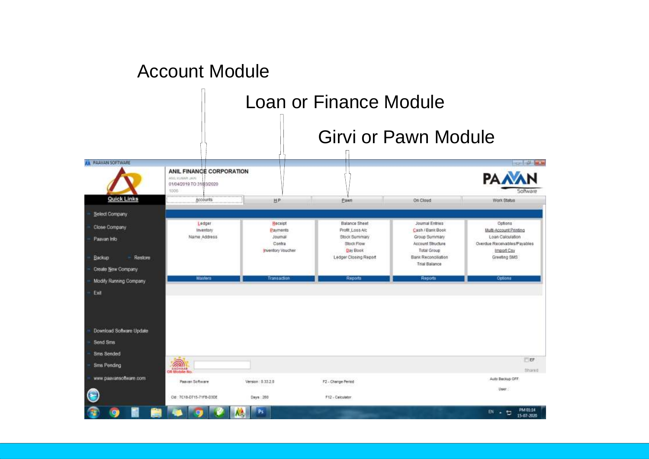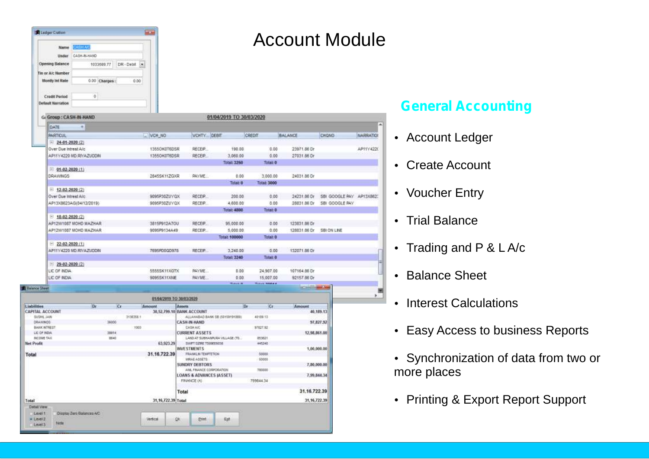| <b>B</b> Ledger Cration               |                         |       |                  | <b>ALC</b>               |                                                              |                          |                    |                     | <b>Account Module</b>    |                  |
|---------------------------------------|-------------------------|-------|------------------|--------------------------|--------------------------------------------------------------|--------------------------|--------------------|---------------------|--------------------------|------------------|
| <b>Name</b>                           | <b>ABH AC</b>           |       |                  |                          |                                                              |                          |                    |                     |                          |                  |
| Under                                 | CASH-BLHAND             |       |                  |                          |                                                              |                          |                    |                     |                          |                  |
| <b>Opening Balance</b>                | 1033689.77              |       | DR - Debit<br>38 |                          |                                                              |                          |                    |                     |                          |                  |
| Tin or A/c Number                     |                         |       |                  |                          |                                                              |                          |                    |                     |                          |                  |
| <b>Montly Int Rate</b>                | 0.00 Charges:           |       | 0.00             |                          |                                                              |                          |                    |                     |                          |                  |
|                                       |                         |       |                  |                          |                                                              |                          |                    |                     |                          |                  |
| Credit Period                         | ö                       |       |                  |                          |                                                              |                          |                    |                     |                          |                  |
| <b>Default Narration</b>              |                         |       |                  |                          |                                                              |                          |                    |                     |                          |                  |
|                                       |                         |       |                  |                          |                                                              |                          |                    |                     |                          |                  |
| G: Group: CASH-IN-HAND                |                         |       |                  |                          |                                                              | 01/04/2019 TO 30/03/2020 |                    |                     |                          |                  |
| DATE                                  | ×                       |       |                  |                          |                                                              |                          |                    |                     |                          |                  |
| PARTICUL                              |                         |       |                  | U VCH NO                 | VCHTY. DEBIT                                                 |                          | CREDIT             | BALANCE             | CHONO                    | <b>NARRATION</b> |
| $= 24-01-2020(2)$                     |                         |       |                  |                          |                                                              |                          |                    |                     |                          |                  |
| Over Due Intrest A/c                  |                         |       |                  | 13550K0T6DSR             | <b>RECEP</b>                                                 | 190.00                   | 0.00               | 23971.86 Dr         |                          | AP11Y4220        |
|                                       | AP11Y4220 MD.RIVAZUDDN  |       |                  | 13550K0T6DSR             | RECEP.                                                       | 3,060.00                 | 0.00               | 27031.86 Dr         |                          |                  |
|                                       |                         |       |                  |                          |                                                              | Total: 3250              | <b>Totals O</b>    |                     |                          |                  |
| $= 01-02-2020(1)$                     |                         |       |                  |                          |                                                              |                          |                    |                     |                          |                  |
| <b>DRAWINGS</b>                       |                         |       |                  | 2845SK11ZGXR             | PAYME:                                                       | 0.00                     | 3,000.00           | 24031.86 Dr         |                          |                  |
| $= 12-02-2020(2)$                     |                         |       |                  |                          |                                                              | Total: 0                 | <b>Totat 3000</b>  |                     |                          |                  |
| Over Due Intrest A/c                  |                         |       |                  | 9095P30ZUYQX             | RECEP                                                        | 200.00                   | 0.00               | 24231.86 Dr         | SBI GODGLE PAY AP13X8623 |                  |
|                                       | AP13X8623AG(04/12/2019) |       |                  | 9095P30ZUYQX             | RECEIP.                                                      | 4,600.00                 | 0.00               | 28831.86.Dr         | SBI GODGLE PAY           |                  |
|                                       |                         |       |                  |                          |                                                              | Total: 4800              | Triat <sub>0</sub> |                     |                          |                  |
| $= 18.02 - 2020(2)$                   |                         |       |                  |                          |                                                              |                          |                    |                     |                          |                  |
|                                       | AP12W1087 MOHD MAZHAR   |       |                  | 3815P912A7OU             | RECEP                                                        | 95,000.00                | 0.00               | 123831.86 Dr        |                          |                  |
|                                       | AP12W1087 MOHD MAZHAR   |       |                  | 9095P9134A49             | RECEIP.                                                      | 5.000.00                 | 0.00               | 128831.86 Dr        | SBI ON LINE              |                  |
|                                       |                         |       |                  |                          |                                                              | <b>Total: 100000</b>     | <b>Totalt O</b>    |                     |                          |                  |
| $-22-02-2020(1)$                      |                         |       |                  |                          |                                                              |                          |                    |                     |                          |                  |
|                                       | AP11Y4220 MD.RIVA2UDDN  |       |                  | 7695PD0QD978             | RECEIP.                                                      | 3,240.00<br>Total: 3240  | 0.00<br>Total: 0   | 132071.86 Dr        |                          |                  |
| $-29-02-2020(2)$                      |                         |       |                  |                          |                                                              |                          |                    |                     |                          |                  |
| LIC OF NOIA                           |                         |       |                  | 55555K11XGTX             | <b>RAYME</b>                                                 | 0.00                     | 24,907.00          | 107164.86 Dr        |                          |                  |
| LIC OF NOIA                           |                         |       |                  | 9095SK11XNE              | <b>PAYME</b>                                                 | 0.00                     | 15.007.00          | 92157.86 Dr         |                          |                  |
|                                       |                         |       |                  |                          |                                                              | Tabah di                 | Titul 3004.4       |                     |                          |                  |
| <b>B</b> Estance Sheet                |                         |       |                  |                          |                                                              |                          |                    | <b>Cardinal Sea</b> |                          |                  |
|                                       |                         |       |                  | 01/04/2019 TO 30/03/2020 |                                                              |                          |                    |                     |                          | ×.               |
| Liabilities<br><b>CAPITAL ACCOUNT</b> | Dr                      | Cr    |                  | Amount                   | Assets                                                       | iDr.                     | Cr.                | Amount              | 40,189.13                |                  |
| SUSHE JAN                             |                         |       | 3136358.1        |                          | 30,52,799.10 BANK ACCOUNT<br>ALLAHABAD BANK SB (50159191069) |                          | 40109:13           |                     |                          |                  |
| DRAWNOS                               |                         | 36000 |                  |                          | CASH IN-HAND                                                 |                          |                    |                     | 97,827.92                |                  |
| BANK INTREST<br>LIC OF RDA            |                         | 39914 | 1003             |                          | CASH A/C<br><b>CURRENT ASSETS</b>                            |                          | 97827.92           | 12,98,861.00        |                          |                  |
| <b>INCOME TAX</b>                     |                         | 8640  |                  |                          | LAND AT SUBHAMPURA VILLAGE (TO.                              |                          | 853621             |                     |                          |                  |
| Net Profit                            |                         |       |                  | 63,923.29                | SWIFT DZIRE TSOBERROSE<br><b>INVESTMENTS</b>                 |                          | 445240             |                     |                          |                  |
| Total                                 |                         |       |                  | 31, 16, 722, 39          | FRANKLIN TEMPTETION                                          |                          | 50008              |                     | 1,00,000.00              |                  |
|                                       |                         |       |                  |                          | MRAE ASSETS                                                  |                          | 50008              |                     |                          |                  |
|                                       |                         |       |                  |                          | SUNDRY DEBTORS<br>AML FINANCE CORPORATION                    |                          | 780000             |                     | 7,80,000.00              |                  |
|                                       |                         |       |                  |                          | <b>LOANS &amp; ADVANCES (ASSET)</b>                          |                          |                    |                     | 7.99.844.34              |                  |
|                                       |                         |       |                  |                          | FINANCE (A)                                                  |                          | 799944.34          |                     |                          |                  |
|                                       |                         |       |                  |                          | Total                                                        |                          |                    | 31.16.722.39        |                          |                  |
|                                       |                         |       |                  | 31, 16, 722, 39 Total    |                                                              |                          |                    | 31, 16, 722, 39     |                          |                  |
| Total                                 |                         |       |                  |                          |                                                              |                          |                    |                     |                          |                  |

Vertical

ok

**Print** 

Egt

Detail View

 $1$  must  $t$ # Level 2

Level 3

Dispite Zero Balances A/C

### **General Accounting**

• Account Ledger<br>• Create Account

- 
- Create Account<br>• Voucher Entry • Voucher Entry<br>• Trial Balance
- 
- Trial Balance<br>• Trading and I • Trading and P & L A/c<br>• Balance Sheet
- Balance Sheet<br>• Interest Calculations
- 
- Easy Access to business Reports
- ?Easy Access to business Reports Synchronization of data from two or more places
- Printing & Export Report Support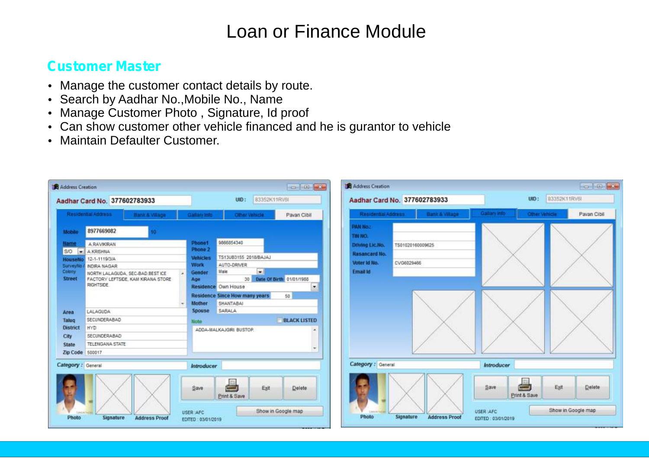### **Customer Master**

- Manage the customer contact details by route.<br>• Search by Aadhar No., Mobile No., Name
- 
- Manage Customer Photo, Signature, Id proof
- Manage Customer Photo , Signature, Id proof<br>• Can show customer other vehicle financed and • Can show customer other vehicle financed and he is gurantor to vehicle<br>• Maintain Defaulter Customer.
- Maintain Defaulter Customer.

| Address Creation                                                          |                                                                                                                                                                           | $\left\  \cdot \right\  = \left\  \cdot \right\ $                                                                                                                                                                                      | Address Creation                                                                               | <b>College</b>                                                                                         |
|---------------------------------------------------------------------------|---------------------------------------------------------------------------------------------------------------------------------------------------------------------------|----------------------------------------------------------------------------------------------------------------------------------------------------------------------------------------------------------------------------------------|------------------------------------------------------------------------------------------------|--------------------------------------------------------------------------------------------------------|
|                                                                           | Aadhar Card No. 377602783933                                                                                                                                              | 83352K11RV6I<br>UID:                                                                                                                                                                                                                   | Aadhar Card No. 377602783933                                                                   | B3352K11RV6<br>UID:                                                                                    |
|                                                                           | Residential Address<br>Bank & Village                                                                                                                                     | Gallary Info<br>Pavan Cibil<br>Other Vehicle                                                                                                                                                                                           | Residential Address:<br><b>Bank &amp; Village</b>                                              | <b>Qallary Info</b><br>Pavan Cibil<br>Other Vehicle                                                    |
| Mobile                                                                    | 8977669082                                                                                                                                                                |                                                                                                                                                                                                                                        | <b>PAN No.:</b><br>THE NO.                                                                     |                                                                                                        |
| Name<br>$S/O = \bullet$<br>HouseNo<br>SurveyNo<br>Colony<br><b>Street</b> | <b>A.RAVIKRAN</b><br><b>A.KRISHNA</b><br>12-1-1119/3/A<br><b>NORA NAGAR</b><br>NORTH LALAGUDA, SEC-BAD BEST ICE<br>FACTORY LEFTSIDE, KAM KIRANA STORE<br><b>RIGHTSIDE</b> | 9866854340<br><b>Phone1</b><br>Phone 2<br>TS13UB3155 2018/BAJAJ<br><b>Vehicles</b><br><b>Work</b><br>AUTO-DRIVER<br><b>Inches</b><br>Male<br>Gender<br>$\star$<br>30 Date Of Birth 01/01/1988<br>Age<br>$\cdot$<br>Residence Own House | Driving Lic.No.<br>TS01020160009625<br>Rasancard No.<br>CVG6029466<br>Voter Id No.<br>Email Id |                                                                                                        |
| Area<br>Taluq<br>District<br>City<br><b>State</b><br>Zip Code 500017      | LALAGUDA<br>SECUNDERABAD<br><b>HYD</b><br>SECUNDERABAD<br>TELENGANA STATE                                                                                                 | Residence Since How many years<br>50<br>Mother<br>SHANTABAJ<br>SARALA<br><b>Spouse</b><br><b>BLACK LISTED</b><br><b>Note</b><br>ADDA-MALKAJGRI BUSTOP.<br>٠                                                                            |                                                                                                |                                                                                                        |
| Category: General<br>Photo                                                | Signature<br><b>Address Proof</b>                                                                                                                                         | <b>Introducer</b><br><b>C</b><br>Delete<br>Exit<br>Save<br>Print & Save<br>Show in Google map<br>USER :AFC<br>EDITED : 03/01/2019                                                                                                      | Category: General<br>USER:AFC<br>Photo<br>Signature<br><b>Address Proof</b>                    | Introducer<br>Ł<br>Exit<br>Save<br>Delete<br>Print & Save<br>Show in Google map<br>EDITED : 03/01/2019 |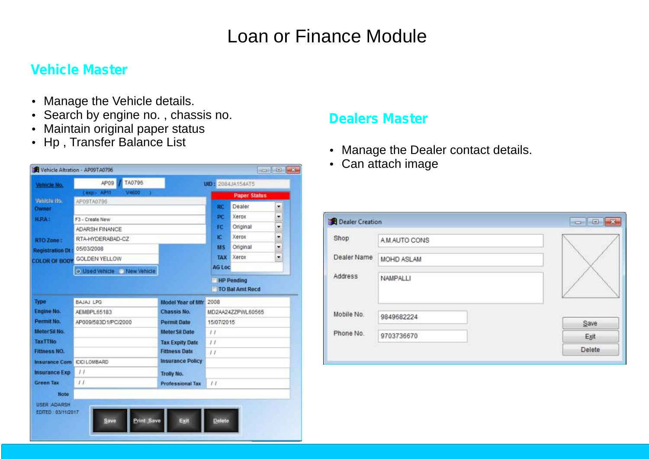### **Vehicle Master**

- Manage the Vehicle details.
- Search by engine no., chassis no. **Dealers Master**<br>• Maintain original paper status
- 
- Hp, Transfer Balance List



- 
- Can attach image

| Dealer Creation |              | $-5$<br><b>HERM</b><br>$\mathbf x$ |
|-----------------|--------------|------------------------------------|
| Shop            | A MAUTO CONS |                                    |
| Dealer Name     | MOHD ASLAM   |                                    |
| Address         | NAMPALLI     |                                    |
| Mobile No.      | 9849682224   | Save                               |
| Phone No.       | 9703736670   | Exit                               |
|                 |              | Delete                             |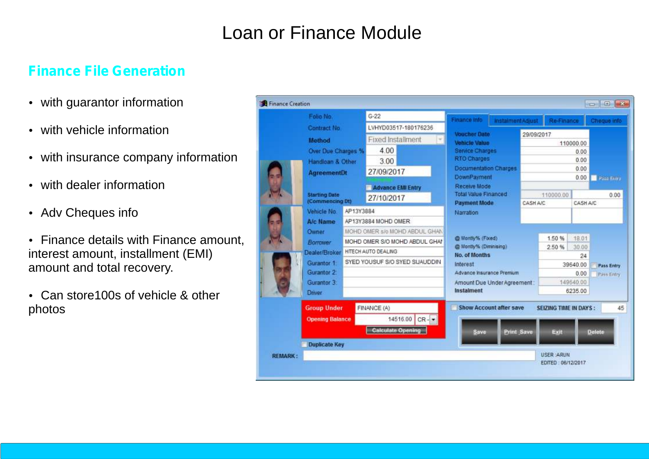### **Finance File Generation**

- with guarantor information<br>• with vehicle information
- 
- with vehicle information<br>• with insurance compan<sub>!</sub> • with insurance company information<br>• with dealer information
- with dealer information<br>• Adv Cheques info
- 
- Adv Cheques info<br>• Finance details with Finance amount, interest amount, installment (EMI)
- amount and total recovery.<br>• Can store100s of vehicle Can store100s of vehicle & other photos

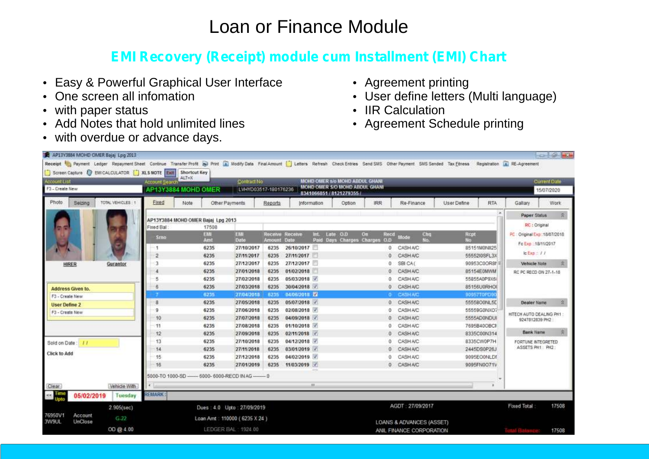# **EMI Recovery (Receipt) module cum Installment (EMI) Chart**<br>
Superful Graphical User Interface **Common System**<br> **•** Agreement printing

- ?Easy & Powerful Graphical User Interface
- One screen all infomation
- 
- with paper status<br>• Add Notes that hold unlimited lines • Add Notes that hold unlimited lines<br>• with overdue or advance days.
- 
- 
- Agreement printing<br>• User define letters • User define letters (Multi language)<br>• IIR Calculation
- 
- IIR Calculation<br>• Agreement Schedule printing

| AP13Y3884 MOHD OMER Bajaj Lpg 2013                                                                                                                                                 |                           |                                                       |                      |                               |                         |                                        |                   |                          |             |              |                               |       |
|------------------------------------------------------------------------------------------------------------------------------------------------------------------------------------|---------------------------|-------------------------------------------------------|----------------------|-------------------------------|-------------------------|----------------------------------------|-------------------|--------------------------|-------------|--------------|-------------------------------|-------|
| Receipt Spayment Ledger Repayment Sheet Continue Transfer Profit Sp Print Ca Moddy Data Final Amount   Letters Refresh Check Entries Send SMS Other Payment SMS Sended Tax Ethiess |                           |                                                       |                      |                               |                         |                                        |                   |                          |             |              | Registration 4 RE-Agreement   |       |
| Screen Capture & EMICALCULATOR XLS NOTE Fait Shortcut Key                                                                                                                          |                           |                                                       |                      |                               |                         |                                        |                   |                          |             |              |                               |       |
| Account List                                                                                                                                                                       | Account Search            | ALT+X                                                 | Contract No.         |                               |                         | MOHD OMER 5/6 MOHD ABDUL GHANI         |                   |                          |             |              | Current Date                  |       |
| F3 - Create New                                                                                                                                                                    |                           | AP13Y3884 MOHD OMER                                   | LVHYD03517-180176236 |                               | 8341066851 / 8121279355 | MOHD OMER S/O MOHD ABOUL GHANT         |                   |                          |             |              | 15/07/2020                    |       |
| TOTAL VEHICLES : 1<br>Photo<br>Seizing                                                                                                                                             | Fixed                     | Note<br>Other Payments                                |                      | Reports                       | Information             | Option                                 | <b>IRR</b>        | Re-Finance               | User Define | <b>RTA</b>   | Gallary                       | Work  |
|                                                                                                                                                                                    |                           | AP13Y3884 MOHD OMER Bajaj Lpg 2013                    |                      |                               |                         |                                        |                   |                          |             |              | <b>Paper Status</b>           | 案     |
|                                                                                                                                                                                    | Fixed Ball                | 17508                                                 |                      |                               |                         |                                        |                   |                          |             |              | RC: Original                  |       |
|                                                                                                                                                                                    | Srno                      | EMI<br>Amt                                            | EMI<br>Date          | Receive<br><b>Amount Date</b> | int.<br>Receive         | Late O.D.<br>Paid Days Charges Charges | On<br>Recd<br>0.0 | Chg<br>Mode:<br>No.      | Rept<br>No: |              | PC: Original Exp:: 18/07/2018 |       |
|                                                                                                                                                                                    |                           | 6235                                                  | 27/10/2017           | 6235                          | 26/10/2017              |                                        |                   | 0 CASHA/C                |             | 85151M0NII25 | Fo Exp :: 18/11/2017          |       |
|                                                                                                                                                                                    | 2                         | 6235                                                  | 27/11/2017           | 6235                          | 27/11/2017              |                                        |                   | 0 CASHA/C                |             | 5555210SFL3X | $c$ $c$ $r$ $r$ $l$ $l$       |       |
| <b>HIRER</b><br>Gurantor                                                                                                                                                           |                           | 6235                                                  | 27/12/2017           | 6235                          | 27/12/2017              |                                        | ũ.                | SBI CA(                  |             | 90953C0OR8f  | Vehicle Note                  |       |
|                                                                                                                                                                                    |                           | 6235                                                  | 27/01/2018           | 6235                          | 01/02/2018              |                                        | 0                 | CASHA/C                  | 85154E0MWM  |              | RC PC RECO ON 27-1-18         |       |
|                                                                                                                                                                                    |                           | 6235                                                  | 27/02/2018           | 6235                          | 05/03/2018              |                                        |                   | 0 CASHA/C                | 55855A0P9X6 |              |                               |       |
| Address Given to.                                                                                                                                                                  |                           | 6235                                                  | 27/03/2018           | 6235                          | 30/04/2018              |                                        | Õ.                | CASHA/C                  |             | 85156U0RHOI  |                               |       |
| F3 - Create New                                                                                                                                                                    |                           | 6235                                                  | 27/04/2018           | 6235                          | D4/06/2018 E2           |                                        |                   | <b>G CASHAIC</b>         | 90957T0PD9  |              |                               |       |
| <b>User Define 2</b>                                                                                                                                                               |                           | 6235                                                  | 27/05/2018           | 6235                          | 05/07/2018              |                                        | O.                | CASHAIC                  |             | 5555800NL5E  | <b>Dealer Name</b>            | 俊     |
| F3 - Create New                                                                                                                                                                    | я                         | 6235                                                  | 27/06/2018           | 6235                          | 02/08/2018              |                                        | o                 | <b>CASH A/C</b>          |             | 55559G0NXO7  | HITECH AUTO DEALING PH1       |       |
|                                                                                                                                                                                    | 10                        | 6235                                                  | 27/07/2018           | 6235                          | 04/09/2018              |                                        | O.                | <b>CASH A/C</b>          |             | 5555AD0NDUI  | 9247812839 PH2                |       |
|                                                                                                                                                                                    | 11                        | 6235                                                  | 27/08/2018           | 6235                          | 01/10/2018              |                                        | Ű.                | CASHAIC                  |             | 7695B40OBCI  |                               |       |
|                                                                                                                                                                                    | 12                        | 6235                                                  | 27/09/2018           | 6235                          | 02/11/2018 √            |                                        | Ü.                | CASHA/C                  |             | 8335C00N314  | Bank Name                     |       |
| Sold on Date: //                                                                                                                                                                   | 13                        | 6235                                                  | 27/10/2018           | 6235                          | 04/12/2018              |                                        | Ü.                | CASHA/C                  | 8335CW0P7H  |              | FORTUNE INTEGRETED            |       |
| <b>Click to Add</b>                                                                                                                                                                | 14                        | 6235                                                  | 27/11/2018           | 6235                          | 03/01/2019 V            |                                        | ũ                 | CASHAIC                  | 2445DS0P26J |              | ASSETS PH1 PH2:               |       |
|                                                                                                                                                                                    | 15                        | 6235                                                  | 27/12/2018           | 6235                          | 04/02/2019              |                                        |                   | CASHAIC                  |             | 9095EO0NLDf  |                               |       |
|                                                                                                                                                                                    | 16                        | 6235                                                  | 27/01/2019           | 6235                          | 11/03/2019              |                                        |                   | 0 CASHA/C                |             | 9095FN0Q71V  |                               |       |
|                                                                                                                                                                                    |                           | 5000-TO 1000-SD ----- 6000- 6000-RECD IN AG ------- 0 |                      |                               |                         |                                        |                   |                          |             |              |                               |       |
| Vehicle With<br>Clear-                                                                                                                                                             | ¥.                        |                                                       |                      |                               | $_{\rm H}$              |                                        |                   |                          |             |              |                               |       |
| $\epsilon<\frac{1}{2}$<br>05/02/2019                                                                                                                                               | <b>REMARK:</b><br>Tuesday |                                                       |                      |                               |                         |                                        |                   |                          |             |              |                               |       |
| 2.905(sec)                                                                                                                                                                         |                           | Dues: 4.0 Upto: 27/09/2019                            |                      |                               |                         |                                        |                   | AGDT : 27/09/2017        |             |              | <b>Fixed Total</b>            | 17508 |
| 76950V1<br>Account<br>$G-22$<br>UnClose<br>3W9UL                                                                                                                                   |                           | Loan Amt: 110000 (6235 X 24)                          |                      |                               |                         |                                        |                   | LOANS & ADVANCES (ASSET) |             |              |                               |       |
| OD @ 4.00                                                                                                                                                                          |                           | LEDGER BAL: 1924.00                                   |                      |                               |                         |                                        |                   | ANIL FINANCE CORPORATION |             |              | <b>Tetal Balance</b>          | 17508 |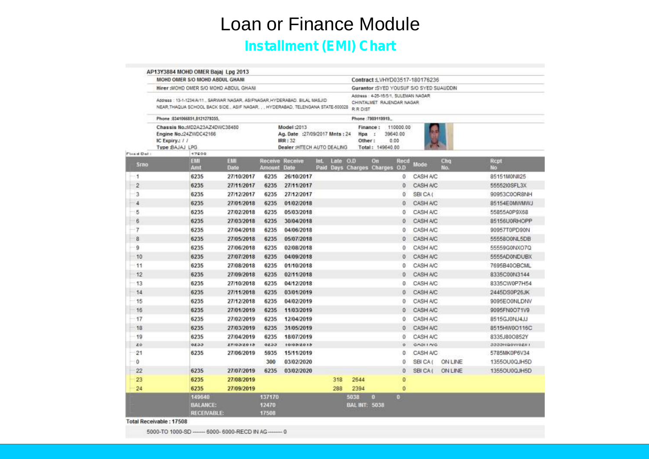**Installment (EMI) Chart**

|                    |                                                                    | AP13Y3884 MOHD OMER Bajaj Lpg 2013              |                    |                          |                                                                                                                                                                  |                                                                               |                               |            |                |                     |
|--------------------|--------------------------------------------------------------------|-------------------------------------------------|--------------------|--------------------------|------------------------------------------------------------------------------------------------------------------------------------------------------------------|-------------------------------------------------------------------------------|-------------------------------|------------|----------------|---------------------|
|                    |                                                                    | MOHD OMER S/O MOHD ABDUL GHANI                  |                    |                          |                                                                                                                                                                  | Contract:LVHYD03517-180176236                                                 |                               |            |                |                     |
|                    |                                                                    | Hirer: MOHD OMER S/O MOHD ABDUL GHANI           |                    |                          |                                                                                                                                                                  | Gurantor:SYED YOUSUF S/O SYED SUAUDDIN                                        |                               |            |                |                     |
|                    |                                                                    |                                                 |                    |                          | Address : 13-1-1234/A/11., SARWAR NAGAR, ASIFNAGAR, HYDERABAD, BILAL MASJID<br>NEAR, THAQUA SCHOOL BACK SIDE., ASIF NAGAR. , . HYDERABAD. TELENGANA STATE-500028 | Address : 4-25-16/5/1, SULEMAN NAGAR<br>CHINTALMET RAJENDAR NAGAR<br>R.R.DIST |                               |            |                |                     |
|                    | Phone:8341066851,8121279355.                                       |                                                 |                    |                          |                                                                                                                                                                  | Phone: 7369119919                                                             |                               |            |                |                     |
|                    | Engine No.:24ZWDC42166<br>IC Expiry.: / /<br><b>Type BAJAJ LPG</b> | Chassis No.:MD2A23AZ4DWC38480                   |                    |                          | Model: 2013<br>Ag. Date: : 27/09/2017 Mnts: 24<br><b>IRR: 32</b><br>Dealer : HITECH AUTO DEALING                                                                 | Finance:<br>Hpa :<br>Other:<br>Total: 149640.00                               | 110000.00<br>39640.00<br>0.00 |            |                |                     |
| Fixed Dal:<br>Srno |                                                                    | 17500<br>EMI<br>Amt                             | EMI<br><b>Date</b> | Amount Date              | <b>Receive Receive</b><br>Late 0.0<br>Int.                                                                                                                       | On<br>Paid Days Charges Charges O.D                                           | Recd                          | Mode       | Chq<br>No.     | Rcpt<br>No          |
| $\mathbf{I}$       |                                                                    | 6235                                            | 27/10/2017         | 6235                     | 26/10/2017                                                                                                                                                       |                                                                               | 0                             | CASH A/C   |                | 85151M0NII25        |
| $\overline{2}$     |                                                                    | 6235                                            | 27/11/2017         | 6235                     | 27/11/2017                                                                                                                                                       |                                                                               | o                             | CASH A/C   |                | 5555210SFL3X        |
| 3                  |                                                                    | 6235                                            | 27/12/2017         | 6235                     | 27/12/2017                                                                                                                                                       |                                                                               | Ű                             | SBI CA (   |                | 90953C0OR8NH        |
| 4                  |                                                                    | 6235                                            | 27/01/2018         | 6235                     | 01/02/2018                                                                                                                                                       |                                                                               | 0                             | CASH A/C   |                | 85154E0MWMWJ        |
| 5                  |                                                                    | 6235                                            | 27/02/2018         | 6235                     | 05/03/2018                                                                                                                                                       |                                                                               | 0                             | CASH A/C   |                | 55855A0P9X68        |
| 6                  |                                                                    | 6235                                            | 27/03/2018         | 6235                     | 30/04/2018                                                                                                                                                       |                                                                               | o                             | CASH A/C   |                | 85156U0RHOPP        |
| 7                  |                                                                    | 6235                                            | 27/04/2018         | 6235                     | 04/06/2018                                                                                                                                                       |                                                                               | 0                             | CASH A/C   |                | 90957T0PD90N        |
| 8                  |                                                                    | 6235                                            | 27/05/2018         | 6235                     | 05/07/2018                                                                                                                                                       |                                                                               | $\Omega$                      | CASH A/C   |                | 5555800NL5DB        |
| 9                  |                                                                    | 6235                                            | 27/06/2018         | 6235                     | 02/08/2018                                                                                                                                                       |                                                                               | 0                             | CASH A/C   |                | 55559G0NXO7Q        |
| 10                 |                                                                    | 6235                                            | 27/07/2018         | 6235                     | 04/09/2018                                                                                                                                                       |                                                                               | 0                             | CASH A/C   |                | 5555AD0NDUBX        |
| 11                 |                                                                    | 6235                                            | 27/08/2018         | 6235                     | 01/10/2018                                                                                                                                                       |                                                                               | 0                             | CASH A/C   |                | 7695B40OBCML        |
| 12                 |                                                                    | 6235                                            | 27/09/2018         | 6235                     | 02/11/2018                                                                                                                                                       |                                                                               | 0                             | CASH A/C   |                | 8335C00N3144        |
| 13                 |                                                                    | 6235                                            | 27/10/2018         | 6235                     | 04/12/2018                                                                                                                                                       |                                                                               | 0                             | CASH A/C   |                | 8335CW0P7H54        |
| 14                 |                                                                    | 6235                                            | 27/11/2018         | 6235                     | 03/01/2019                                                                                                                                                       |                                                                               | 0                             | CASH A/C   |                | 2445DS0P26JK        |
| 15                 |                                                                    | 6235                                            | 27/12/2018         | 6235                     | 04/02/2019                                                                                                                                                       |                                                                               | 0                             | CASH A/C   |                | 9095EOGNLDNV        |
| 16                 |                                                                    | 6235                                            | 27/01/2019         | 6235                     | 11/03/2019                                                                                                                                                       |                                                                               | Ũ                             | CASH A/C   |                | 9095FN0O71V9        |
| 17                 |                                                                    | 6235                                            | 27/02/2019         | 6235                     | 12/04/2019                                                                                                                                                       |                                                                               | 0                             | CASH A/C   |                | 8515GJ0NJ4JJ        |
| 18                 |                                                                    | 6235                                            | 27/03/2019         | 6235                     | 31/05/2019                                                                                                                                                       |                                                                               | Ű.                            | CASH A/C   |                | 8515HW0O116C        |
| 19                 |                                                                    | 6235                                            | 27/04/2019         | 6235                     | 18/07/2019                                                                                                                                                       |                                                                               | 0                             | CASH A/C   |                | 8335J80O852Y        |
| 20                 |                                                                    | 0233                                            | ET/03/2015         | 0133                     | 10/03/2013                                                                                                                                                       |                                                                               | ö                             | GAOI I AVG |                | 1 IISOVVOZJI ODDELJ |
| 21                 |                                                                    | 6235                                            | 27/06/2019         | 5935                     | 15/11/2019                                                                                                                                                       |                                                                               | o                             | CASH A/C   |                | 5785MK0P6V34        |
| 0                  |                                                                    |                                                 |                    | 300                      | 03/02/2020                                                                                                                                                       |                                                                               | 0                             | SBI CA (   | <b>ON LINE</b> | 13550U0QJH5D        |
| 22                 |                                                                    | 6235                                            | 27/07/2019         | 6235                     | 03/02/2020                                                                                                                                                       |                                                                               | $\circ$                       | SBI CA     | <b>ON LINE</b> | 13550U0QJH5D        |
| 23                 |                                                                    | 6235                                            | 27/08/2019         |                          | 318                                                                                                                                                              | 2644                                                                          | O                             |            |                |                     |
| 24                 |                                                                    | 6235                                            | 27/09/2019         |                          | 288                                                                                                                                                              | 2394                                                                          | $\bf{0}$                      |            |                |                     |
|                    |                                                                    | 149540<br><b>BALANCE:</b><br><b>RECEIVABLE:</b> |                    | 137170<br>12470<br>17508 |                                                                                                                                                                  | 5038<br>$\bullet$<br><b>BAL INT: 5038</b>                                     | $\mathbf{a}$                  |            |                |                     |

Total Receivable: 17508

5000-TO 1000-SD ------- 6000- 6000-RECD IN AG --------- 0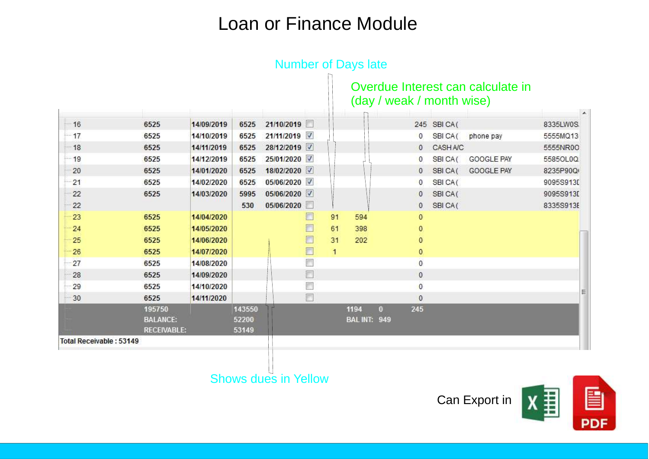|                                |                                                 |            |                          |              |   |              |                             |              |              | (day / weak / month wise) | Overdue Interest can calculate in | $\lambda$ |
|--------------------------------|-------------------------------------------------|------------|--------------------------|--------------|---|--------------|-----------------------------|--------------|--------------|---------------------------|-----------------------------------|-----------|
| $-16$                          | 6525                                            | 14/09/2019 | 6525                     | 21/10/2019   |   |              |                             |              |              | 245 SBICA(                |                                   | 8335LW0S  |
| $-17$                          | 6525                                            | 14/10/2019 | 6525                     | 21/11/2019   |   |              |                             |              | $\mathbf{0}$ | SBI CA(                   | phone pay                         | 5555MQ13  |
| -18                            | 6525                                            | 14/11/2019 | 6525                     | 28/12/2019   |   |              |                             |              | $\mathbf{0}$ | CASH A/C                  |                                   | 5555NR00  |
| $-19$                          | 6525                                            | 14/12/2019 | 6525                     | 25/01/2020   |   |              |                             |              | $\mathbf{0}$ | SBI CA(                   | <b>GOOGLE PAY</b>                 | 5585OL0Q  |
| 20                             | 6525                                            | 14/01/2020 | 6525                     | 18/02/2020 √ |   |              |                             |              | $\mathbf{0}$ | SBICA(                    | GOOGLE PAY                        | 8235P90Q  |
| 21                             | 6525                                            | 14/02/2020 | 6525                     | 05/06/2020   |   |              |                             |              | $\mathbf{0}$ | SBI CA(                   |                                   | 9095S913D |
| 22                             | 6525                                            | 14/03/2020 | 5995                     | 05/06/2020 √ |   |              |                             |              | $\mathbf{0}$ | SBI CA(                   |                                   | 9095S913D |
| 22                             |                                                 |            | 530                      | 05/06/2020   | F |              |                             |              | $\mathbf{0}$ | SBI CA(                   |                                   | 8335S913E |
| 23                             | 6525                                            | 14/04/2020 |                          |              | E | 91           | 594                         |              | $\mathbf{0}$ |                           |                                   |           |
| 24                             | 6525                                            | 14/05/2020 |                          |              | F | 61           | 398                         |              | $\mathbf{0}$ |                           |                                   |           |
| 25                             | 6525                                            | 14/06/2020 |                          |              | E | 31           | 202                         |              | $\mathbf{0}$ |                           |                                   |           |
| 26                             | 6525                                            | 14/07/2020 |                          |              | F | $\mathbf{1}$ |                             |              | $\mathbf{0}$ |                           |                                   |           |
| 27                             | 6525                                            | 14/08/2020 |                          |              |   |              |                             |              | $\mathbf{0}$ |                           |                                   |           |
| 28                             | 6525                                            | 14/09/2020 |                          |              | F |              |                             |              | $\mathbf{0}$ |                           |                                   |           |
| 29                             | 6525                                            | 14/10/2020 |                          |              | F |              |                             |              | $\mathbf{0}$ |                           |                                   |           |
| 30                             | 6525                                            | 14/11/2020 |                          |              | F |              |                             |              | $\theta$     |                           |                                   |           |
|                                | 195750<br><b>BALANCE:</b><br><b>RECEIVABLE:</b> |            | 143550<br>52200<br>53149 |              |   |              | 1194<br><b>BAL INT: 949</b> | $\mathbf{0}$ | 245          |                           |                                   |           |
| <b>Total Receivable: 53149</b> |                                                 |            |                          |              |   |              |                             |              |              |                           |                                   |           |

## **Number of Days late**

Shows dues in Yellow

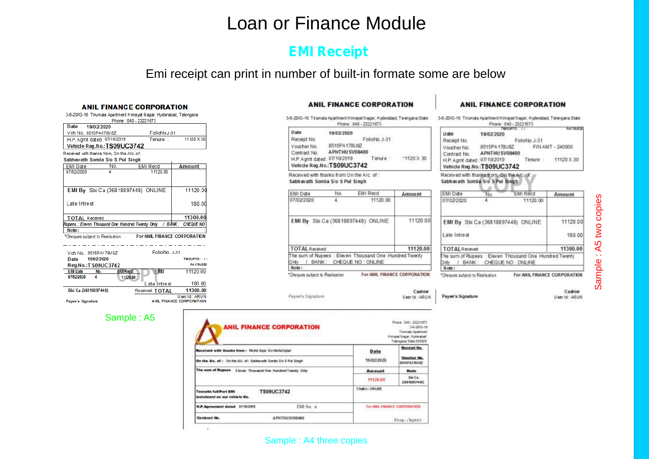### **EMI Receipt**

Emi receipt can print in number of built-in formate some are below

### **ANIL FINANCE CORPORATION**

|      | 3-6-2073-16 Thurriala Adarument Filmaval Nagar, Fivoeradag, Telengana |             |           |
|------|-----------------------------------------------------------------------|-------------|-----------|
|      | Phone: 040 - 23221673                                                 |             |           |
| Date | 19/02/2020                                                            |             |           |
|      | Vch No. 8515PA178U8Z                                                  | FolioNoJ-31 |           |
|      | H.P. Agmt dated: 07/10/2019                                           | Tenure :    | 11120 X30 |
|      | Vehicle Reg.No.:TS09UC3742                                            |             |           |
|      | Received with thanks from, On the A/c, of:                            |             |           |
|      | Sabhavath Somla S/o S Pul Singh                                       |             |           |

|                       | Sabhavath Soffiia Sio S Pui Singh                                  |                                     |               |
|-----------------------|--------------------------------------------------------------------|-------------------------------------|---------------|
| <b>EMI</b> Date       | No.                                                                | <b>EMI Recd</b>                     | <b>Amount</b> |
| 07/02/2020            |                                                                    | 11120.00                            |               |
|                       |                                                                    |                                     |               |
|                       | EMI By Sbi Ca (36818897448) ONLINE                                 |                                     | 11120.0       |
| Late Intrest          |                                                                    |                                     | 180.00        |
| <b>TOTAL Received</b> |                                                                    |                                     | 11300.00      |
|                       | Rupees : Eleven Thousand One Hundred Twenty Only / BANK: CHEQUE NO |                                     |               |
| Note:                 |                                                                    |                                     |               |
|                       | *Cheques subject to Realisation                                    | <b>For ANIL FINANCE CORPORATION</b> |               |
|                       |                                                                    |                                     |               |

|                   | Vch No 8515PA178U8Z  |                 | FolioNo J-31   |                                           |
|-------------------|----------------------|-----------------|----------------|-------------------------------------------|
| Date              | 19/02/2020           |                 |                | TIMEUPTO: //                              |
|                   | Reg.No.: T S09UC3742 |                 |                | <b>PA178U820</b>                          |
| <b>EMI Date</b>   | No.                  | <b>EMI Recd</b> | <b>EMI</b>     | 11120.00                                  |
| 07/02/2020        | 4                    | 11120.00        |                |                                           |
|                   |                      |                 | Late Intrest   | 180.00                                    |
|                   | Sbi Ca (36818897448) |                 | Received TOTAL | 11300.00                                  |
| Payee's Signature |                      |                 |                | User Id: ARUN<br>ANIL FINANCE CORPORATION |

### Sample : A5

### **ANIL FINANCE CORPORATION**

3-6-20/G-16. Tirumala Apartment Himayat Nagar, Hyderabad, Telengana State Phone: 040 - 23221673

| Date                        | 19/02/2020                  |              |         |
|-----------------------------|-----------------------------|--------------|---------|
| Receipt No.                 |                             | FolioNo.J-31 |         |
| Voucher No.                 | 8515PA178U8Z                |              |         |
| Contract No.                | APHTHU SV08400              |              |         |
| H.P. Agmt dated: 07/10/2019 |                             |              | 11120 X |
|                             | Vehicle Reg.No.: TS09UC3742 |              |         |

Received with thanks from On the A/c. of : Sabhavath Somla S/o 5 Pul Singh

| EMI Date       | No. | <b>EMI Recd</b>                                                                     | Amount   |
|----------------|-----|-------------------------------------------------------------------------------------|----------|
| 07/02/2020     |     | 11120.00                                                                            |          |
|                |     | EMI By Sbi Ca (36818897448) ONLINE                                                  | 11120.00 |
|                |     |                                                                                     |          |
| TOTAL Received |     |                                                                                     | 11120.00 |
| vin C<br>Note: |     | The sum of Rupees : Eleven Thousand One Hundred Twenty<br>/ BANK: CHEQUE NO: ONLINE |          |

### **ANIL FINANCE CORPORATION**

3-6-20/G-16 Tirumala Apartment Himavat Napar, Hyderabad, Telengana State Phone: 040 - 23221873

|                             | <b>ENTREPRISON AND COMPANY</b> | PA17BUL |                    |  |  |  |  |
|-----------------------------|--------------------------------|---------|--------------------|--|--|--|--|
| Date                        | 19/02/2020                     |         |                    |  |  |  |  |
| Receipt No.                 | FolioNo. J-31                  |         |                    |  |  |  |  |
| Voucher No.<br>Contract No. | 8515PA178U8Z<br>APHTHU SV08400 |         | FIN AMT - 240000   |  |  |  |  |
| H.P. Agmt dated: 07/10/2019 | Vehicle Reg.No.:TS09UC3742     |         | Tenure: 11120 X 30 |  |  |  |  |
|                             |                                |         |                    |  |  |  |  |

Received with thanks from On the Aid and Sabhavath Somla S/o S Pul Singh

| EMI Date                      | Nο       | EMI Rend                                                                         | Amount                       |
|-------------------------------|----------|----------------------------------------------------------------------------------|------------------------------|
| 07/02/2020                    | 4        | 11120.00                                                                         |                              |
|                               |          | EMI By Sbi Ca (36818897448) ONLINE                                               | 11120.00                     |
| Late Intrest                  | 180.00   |                                                                                  |                              |
| <b>TOTAL Received</b>         | 11300.00 |                                                                                  |                              |
| ) miv<br>Note:                |          | he sum of Rupees : Eleven Thousand One Hundred Twenty<br>BANK: CHEQUE NO: ONLINE |                              |
| heques subject to Realisation |          |                                                                                  | For ANIL FINANCE CORPORATION |

Sample : A 5 tw ocopie s

Cashier Userid: ARUN

30

Payee's Signature

Cashier User Id: ARUN

| <b>ANIL FINANCE CORPORATION</b>                                             | Phone: 040 - 2322167<br>3-6-20/0-1<br>Titumala Apatmer<br>Himayet Nagar, Hyderabad<br>Telengana State 500029 |                             |                             |  |  |
|-----------------------------------------------------------------------------|--------------------------------------------------------------------------------------------------------------|-----------------------------|-----------------------------|--|--|
| Received with thanks from: Motd Ajaz Sio Mondigtal                          | Date                                                                                                         | Receipt No.                 |                             |  |  |
| On the Aic. of : On the Aic. of: Sabhavath Sonta Sio 5 Pul Singh            | 19/02/2020                                                                                                   | Voucher No.<br>5915PA178USZ |                             |  |  |
| The sum of Rupees - Eleven Thousand One Hundred Twenty Only                 |                                                                                                              | Amount                      | Mode                        |  |  |
|                                                                             |                                                                                                              | 11120.00                    | Sta Ca<br>(36818297448)     |  |  |
| TS09UC3742<br><b>Towards full Part EMI</b><br>instalment on our vehicle No. | Chriso: ONUNE                                                                                                |                             |                             |  |  |
| H.P. Agreement dated 07/10/2019                                             | EM No. 4                                                                                                     |                             | For AMI, FRANCE CORPORATION |  |  |
| Contract No.                                                                | APHTHUSV08400                                                                                                |                             |                             |  |  |

Payed's Signature

### Sample : A4 three copies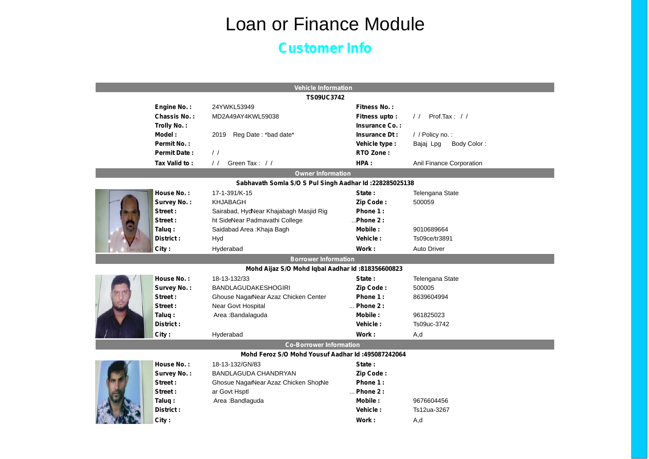### **Customer Info**

|                             |                     | <b>Vehicle Information</b>                              |                    |                                 |  |  |  |  |
|-----------------------------|---------------------|---------------------------------------------------------|--------------------|---------------------------------|--|--|--|--|
| <b>TS09UC3742</b>           |                     |                                                         |                    |                                 |  |  |  |  |
|                             | Engine No.:         | 24YWKL53949                                             | Fitness No.:       |                                 |  |  |  |  |
|                             | Chassis No.:        | MD2A49AY4KWL59038                                       | Fitness upto:      | Prof.Tax: $11$<br>$\frac{1}{2}$ |  |  |  |  |
|                             | Trolly No.:         |                                                         | Insurance Co.:     |                                 |  |  |  |  |
|                             | Model:              | 2019<br>Reg Date: *bad date*                            | Insurance Dt:      | / / Policy no.:                 |  |  |  |  |
|                             | Permit No.:         |                                                         | Vehicle type :     | Body Color:<br>Bajaj Lpg        |  |  |  |  |
|                             | <b>Permit Date:</b> | $\frac{1}{2}$                                           | RTO Zone:          |                                 |  |  |  |  |
|                             | Tax Valid to:       | Green Tax: //<br>$\frac{1}{2}$                          | HPA:               | Anil Finance Corporation        |  |  |  |  |
|                             |                     | <b>Owner Information</b>                                |                    |                                 |  |  |  |  |
|                             |                     | Sabhavath Somla S/O S Pul Singh Aadhar Id: 228285025138 |                    |                                 |  |  |  |  |
|                             | House No.:          | 17-1-391/K-15                                           | State:             | Telengana State                 |  |  |  |  |
|                             | Survey No.:         | KHJABAGH                                                | Zip Code:          | 500059                          |  |  |  |  |
|                             | Street:             | Sairabad, HydNear Khajabagh Masjid Rig                  | Phone 1:           |                                 |  |  |  |  |
|                             | Street:             | ht SideNear Padmavathi College                          | $$ Phone 2 :       |                                 |  |  |  |  |
|                             | Taluq:              | Saidabad Area : Khaja Bagh                              | Mobile:            | 9010689664                      |  |  |  |  |
|                             | District:           | Hyd                                                     | Vehicle:           | Ts09ce/tr3891                   |  |  |  |  |
|                             | City:               | Hyderabad                                               | Work:              | <b>Auto Driver</b>              |  |  |  |  |
| <b>Borrower Information</b> |                     |                                                         |                    |                                 |  |  |  |  |
|                             |                     | Mohd Aijaz S/O Mohd Iqbal Aadhar Id: 818356600823       |                    |                                 |  |  |  |  |
|                             | House No.:          | 18-13-132/33                                            | State:             | Telengana State                 |  |  |  |  |
|                             | Survey No.:         | <b>BANDLAGUDAKESHOGIRI</b>                              | Zip Code:          | 500005                          |  |  |  |  |
|                             | Street:             | Ghouse NagarNear Azaz Chicken Center                    | Phone 1:           | 8639604994                      |  |  |  |  |
|                             | Street:             | Near Govt Hospital                                      | $\ldots$ Phone 2 : |                                 |  |  |  |  |
|                             | Talug:              | Area: Bandalaguda                                       | Mobile:            | 961825023                       |  |  |  |  |
|                             | District:           |                                                         | <b>Vehicle:</b>    | Ts09uc-3742                     |  |  |  |  |
|                             | City:               | Hyderabad                                               | Work:              | A,d                             |  |  |  |  |
|                             |                     | <b>Co-Borrower Information</b>                          |                    |                                 |  |  |  |  |
|                             |                     | Mohd Feroz S/O Mohd Yousuf Aadhar Id: 495087242064      |                    |                                 |  |  |  |  |
|                             | House No.:          | 18-13-132/GN/83                                         | State:             |                                 |  |  |  |  |
|                             | Survey No.:         | BANDLAGUDA CHANDRYAN                                    | Zip Code:          |                                 |  |  |  |  |
|                             | Street:             | Ghosue NagarNear Azaz Chicken ShopNe                    | Phone 1:           |                                 |  |  |  |  |
|                             | Street:             | ar Govt Hsptl                                           | Phone 2 :          |                                 |  |  |  |  |
|                             | Taluq:              | Area: Bandlaguda                                        | Mobile:            | 9676604456                      |  |  |  |  |
|                             | District:           |                                                         | Vehicle:           | Ts12ua-3267                     |  |  |  |  |
|                             | City:               |                                                         | Work :             | A,d                             |  |  |  |  |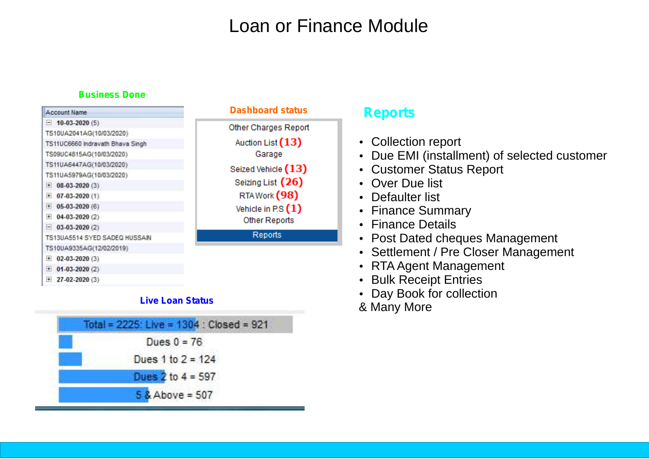### **Business Done**

| <b>Account Name</b>              | <b>Dashboard status</b> | <b>Reports</b>                               |  |  |  |  |  |
|----------------------------------|-------------------------|----------------------------------------------|--|--|--|--|--|
| $\Box$ 10-03-2020 (5)            | Other Charges Report    |                                              |  |  |  |  |  |
| TS10UA2041AG(10/03/2020)         |                         |                                              |  |  |  |  |  |
| TS11UC6660 Indravath Bhava Singh | Auction List (13)       | • Collection report                          |  |  |  |  |  |
| TS09UC4815AG(10/03/2020)         | Garage                  | • Due EMI (installment) of selected customer |  |  |  |  |  |
| TS11UA6447AG(10/03/2020)         | Seized Vehicle (13)     | • Customer Status Report                     |  |  |  |  |  |
| TS11UA5979AG(10/03/2020)         |                         |                                              |  |  |  |  |  |
| $+ 08-03-2020(3)$                | Seizing List (26)       | • Over Due list                              |  |  |  |  |  |
| $\boxplus$ 07-03-2020 (1)        | RTAWork (98)            | • Defaulter list                             |  |  |  |  |  |
| $\pm 05-03-2020(6)$              | Vehicle in P.S $(1)$    | • Finance Summary                            |  |  |  |  |  |
| $+ 04-03-2020(2)$                | Other Reports           |                                              |  |  |  |  |  |
| $-$ 03-03-2020 (2)               |                         | • Finance Details                            |  |  |  |  |  |
| TS13UA5514 SYED SADEQ HUSSAIN    | Reports                 | • Post Dated cheques Management              |  |  |  |  |  |
| TS10UA9335AG(12/02/2019)         |                         | • Settlement / Pre Closer Management         |  |  |  |  |  |
| $\pm 02 - 03 - 2020(3)$          |                         |                                              |  |  |  |  |  |
| $\pm$ 01-03-2020 (2)             |                         | • RTA Agent Management                       |  |  |  |  |  |
| $\pm$ 27-02-2020 (3)             |                         | • Bulk Receipt Entries                       |  |  |  |  |  |

- Bulk Receipt Entries
	- Bulk Receipt Entries<br>• Day Book for collection
	- & Many More

### **Live Loan Status**

| Total = 2225: Live = 1304 : Closed = 921 |
|------------------------------------------|
| Dues $0 = 76$                            |
| Dues 1 to $2 = 124$                      |
| Dues $2$ to $4 = 597$                    |
| $5$ & Above = 507                        |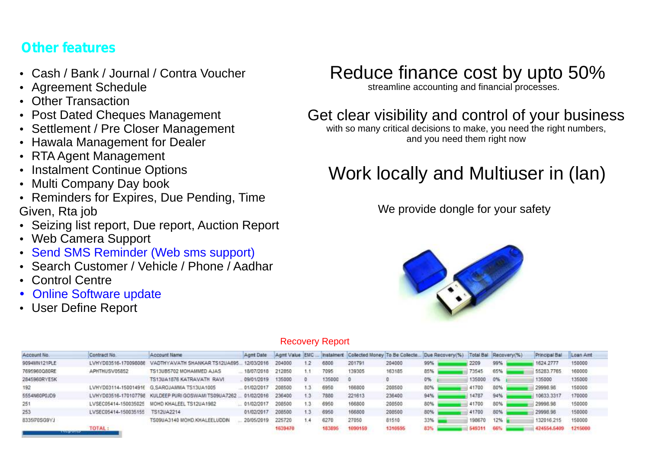### ?**Other features**

- ?Cash / Bank / Journal / Contra Voucher
- Agreement Schedule<br>Other Transaction
- 
- **Post Dated Cheques Management**
- Post Dated Cheques Management<br>• Settlement / Pre Closer Manageme • Settlement / Pre Closer Management<br>• Hawala Management for Dealer
- Hawala Management for Dealer<br>• RTA Agent Management
- 
- RTA Agent Management<br>• Instalment Continue Opt • Instalment Continue Options<br>• Multi Company Day book
- 
- Multi Company Day book<br>• Reminders for Expires, Due Pending, Time
- Given, Rta job<br>• Seizing list report, Due report, Auction Report<br>• Web Camera Support
- 
- Web Camera Support<br>• Send SMS Reminder<br>• Search Customer / Ve Send SMS Reminder (Web sms support)
- Search Customer / Vehicle / Phone / Aadhar<br>Control Centre
- 
- Control Centre<br>• Online Softwar<br>• User Define Re • Online Software update
- User Define Report

## Reduce finance cost by upto 50%

streamline accounting and financial processes.

### Get clear visibility and control of your business

with so many critical decisions to make, you need the right numbers, and you need them right now

## Work locally and Multiuser in (lan)

We provide dongle for your safety



### Recovery Report

| Account No.  | Contract No.            | Account Name                                         | Agnt Date  | Aomt Value EMC |                  | Instalment | Collected Money To Be Collecte |         | Due Recovery(%) |        | Total Bal Recovery(%) | Principal Bal | Loan Amt |  |
|--------------|-------------------------|------------------------------------------------------|------------|----------------|------------------|------------|--------------------------------|---------|-----------------|--------|-----------------------|---------------|----------|--|
| 9094MN121PLE | LVHYD03516-170098086    | VADTHYAVATH SHANKAR TS12UA695.                       | 12/03/2016 | 204000         | 1.2              | 6800       | 201791                         | 204000  | 99%             | 2209   | 99%                   | 1624, 2777    | 150000   |  |
| 7695960Q80RE | APHTHUSV05852           | TS13U85702 MOHAMMED AJAS                             | 18/07/2018 | 212850         |                  | 7095       | 139305                         | 163185  | 85%             | 73545  | 65%                   | 55283.7765    | 160000   |  |
| 2845960RYE5K |                         | TS13UA1876 KATRAVATH RAVI                            | 09/01/2019 | 35000          |                  | 135000     |                                |         | 0%              | 135000 | 0%                    | 135000        | 135000   |  |
| 192          |                         | LVHYD03114-15001491E G.SAROJAMMA TS13UA1005          | 01/02/2017 | 208500         | 1.3.             | 6950       | 166800                         | 208500  | 80%             | 41700  | 80%                   | 29998.98      | 150000   |  |
| 5554N60P0JD9 |                         | LVHYD03516-170107798 KULDEEP PURI GOSWAMI TS09UA7262 | 01/02/2016 | 236400         | 1.3 <sub>1</sub> | 7880       | 221613                         | 236400  | 94%             | 14787  | 94%                   | 10633.3317    | 170000   |  |
| 251          |                         | LVSEC05414-150035025 MOHD KHALEEL TS12UA1982         | 01/02/2017 | 208500         | 1.3              | 6950       | 166800                         | 208500  | 80%             | 41700  | 80%                   | 29996.96      | 150000   |  |
|              | LVSEC05414-150035155    | TS12UA2214                                           | 01/02/2017 | 208500         | 13               | 6950       | 166800                         | 208500  | 80%             | 41700  | <b>B0%</b>            | 29998.96      | 150000   |  |
| 8335I70SG9YJ |                         | TS09UA3140 MOHD KHALEELUDON                          | 20/05/2019 | 225720         | 1.4              | 6270       | 27050                          | 81510   | $33\%$          | 198670 | 12%                   | 132016.215    | 150000   |  |
|              | TOTAL:<br>------------- |                                                      |            | 1639470        |                  |            | 1090159                        | 1310595 | 83%             | 549311 |                       | 424554.5409   | 1215000  |  |